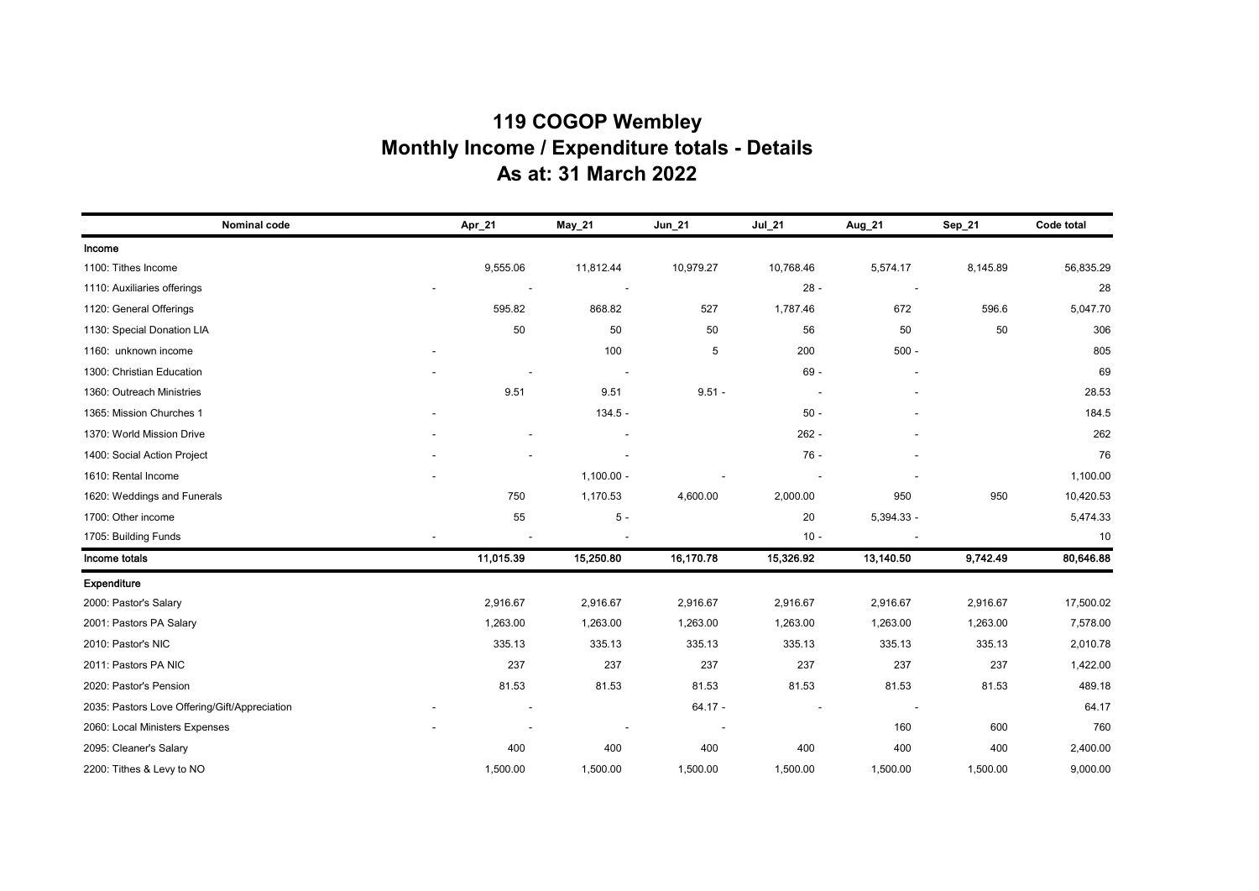## **119 COGOP Wembley Monthly Income / Expenditure totals - Details As at: 31 March 2022**

| Nominal code                                  | Apr_21    | $May_21$     | Jun_21    | Jul_21    | Aug 21       | Sep_21   | Code total |
|-----------------------------------------------|-----------|--------------|-----------|-----------|--------------|----------|------------|
| Income                                        |           |              |           |           |              |          |            |
| 1100: Tithes Income                           | 9,555.06  | 11,812.44    | 10,979.27 | 10,768.46 | 5,574.17     | 8,145.89 | 56,835.29  |
| 1110: Auxiliaries offerings                   |           |              |           | $28 -$    |              |          | 28         |
| 1120: General Offerings                       | 595.82    | 868.82       | 527       | 1,787.46  | 672          | 596.6    | 5,047.70   |
| 1130: Special Donation LIA                    | 50        | 50           | 50        | 56        | 50           | 50       | 306        |
| 1160: unknown income                          |           | 100          | 5         | 200       | $500 -$      |          | 805        |
| 1300: Christian Education                     |           |              |           | $69 -$    |              |          | 69         |
| 1360: Outreach Ministries                     | 9.51      | 9.51         | $9.51 -$  |           |              |          | 28.53      |
| 1365: Mission Churches 1                      |           | $134.5 -$    |           | $50 -$    |              |          | 184.5      |
| 1370: World Mission Drive                     |           |              |           | $262 -$   |              |          | 262        |
| 1400: Social Action Project                   |           |              |           | $76 -$    |              |          | 76         |
| 1610: Rental Income                           |           | $1,100.00 -$ |           |           |              |          | 1,100.00   |
| 1620: Weddings and Funerals                   | 750       | 1,170.53     | 4,600.00  | 2,000.00  | 950          | 950      | 10,420.53  |
| 1700: Other income                            | 55        | $5-$         |           | 20        | $5,394.33 -$ |          | 5,474.33   |
| 1705: Building Funds                          |           |              |           | $10 -$    |              |          | 10         |
| Income totals                                 | 11,015.39 | 15,250.80    | 16,170.78 | 15,326.92 | 13,140.50    | 9,742.49 | 80,646.88  |
| Expenditure                                   |           |              |           |           |              |          |            |
| 2000: Pastor's Salary                         | 2,916.67  | 2,916.67     | 2,916.67  | 2,916.67  | 2,916.67     | 2,916.67 | 17,500.02  |
| 2001: Pastors PA Salary                       | 1,263.00  | 1,263.00     | 1,263.00  | 1,263.00  | 1,263.00     | 1,263.00 | 7,578.00   |
| 2010: Pastor's NIC                            | 335.13    | 335.13       | 335.13    | 335.13    | 335.13       | 335.13   | 2,010.78   |
| 2011: Pastors PA NIC                          | 237       | 237          | 237       | 237       | 237          | 237      | 1,422.00   |
| 2020: Pastor's Pension                        | 81.53     | 81.53        | 81.53     | 81.53     | 81.53        | 81.53    | 489.18     |
| 2035: Pastors Love Offering/Gift/Appreciation |           |              | $64.17 -$ |           |              |          | 64.17      |
| 2060: Local Ministers Expenses                |           |              |           |           | 160          | 600      | 760        |
| 2095: Cleaner's Salary                        | 400       | 400          | 400       | 400       | 400          | 400      | 2,400.00   |
| 2200: Tithes & Levy to NO                     | 1,500.00  | 1,500.00     | 1,500.00  | 1,500.00  | 1,500.00     | 1,500.00 | 9,000.00   |